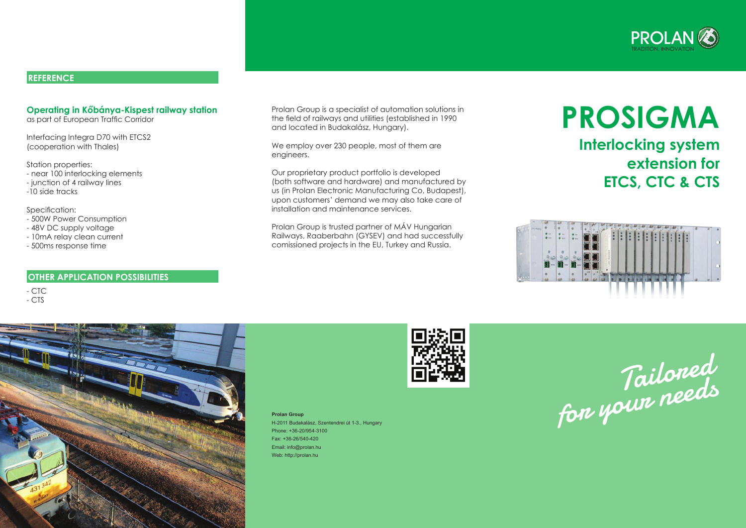# **ProSigma Interlocking system extension for ETCS, CTC & CTS**



#### **Operating in Kőbánya-Kispest railway station**

as part of European Traffic Corridor

Interfacing Integra D70 with ETCS2 (cooperation with Thales)

Station properties:

- near 100 interlocking elements
- junction of 4 railway lines
- -10 side tracks

Specification:

- 500W Power Consumption
- 48V DC supply voltage
- 10mA relay clean current
- 500ms response time

- CTC

- CTS



Prolan Group is a specialist of automation solutions in the field of railways and utilities (established in 1990 and located in Budakalász, Hungary).

We employ over 230 people, most of them are engineers.

Our proprietary product portfolio is developed (both software and hardware) and manufactured by us (in Prolan Electronic Manufacturing Co, Budapest), upon customers' demand we may also take care of installation and maintenance services.

Prolan Group is trusted partner of MÁV Hungarian Railways, Raaberbahn (GYSEV) and had successfully comissioned projects in the EU, Turkey and Russia.





#### **REFERENCE**

**Prolan Group**

H-2011 Budakalász, Szentendrei út 1-3., Hungary Phone: +36-20/954-3100 Fax: +36-26/540-420 Email: info@prolan.hu Web: http://prolan.hu



#### **OTHER APPLICATION POSSIBILITIES**